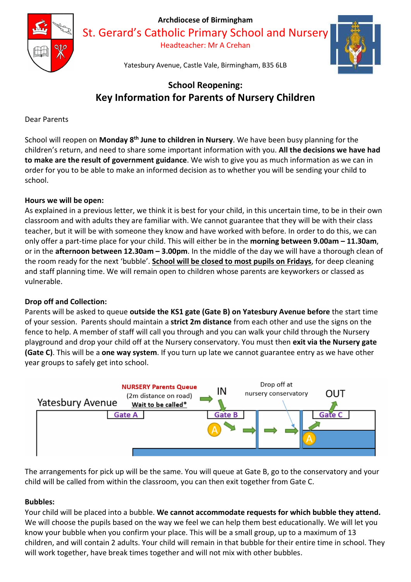

Archdiocese of Birmingham

St. Gerard's Catholic Primary School and Nursery

Headteacher: Mr A Crehan



Yatesbury Avenue, Castle Vale, Birmingham, B35 6LB

# School Reopening: Key Information for Parents of Nursery Children

Dear Parents

School will reopen on Monday 8<sup>th</sup> June to children in Nursery. We have been busy planning for the children's return, and need to share some important information with you. All the decisions we have had to make are the result of government guidance. We wish to give you as much information as we can in order for you to be able to make an informed decision as to whether you will be sending your child to school.

# Hours we will be open:

As explained in a previous letter, we think it is best for your child, in this uncertain time, to be in their own classroom and with adults they are familiar with. We cannot guarantee that they will be with their class teacher, but it will be with someone they know and have worked with before. In order to do this, we can only offer a part-time place for your child. This will either be in the morning between 9.00am – 11.30am, or in the afternoon between 12.30am – 3.00pm. In the middle of the day we will have a thorough clean of the room ready for the next 'bubble'. School will be closed to most pupils on Fridays, for deep cleaning and staff planning time. We will remain open to children whose parents are keyworkers or classed as vulnerable.

# Drop off and Collection:

Parents will be asked to queue **outside the KS1 gate (Gate B) on Yatesbury Avenue before** the start time of your session. Parents should maintain a strict 2m distance from each other and use the signs on the fence to help. A member of staff will call you through and you can walk your child through the Nursery playground and drop your child off at the Nursery conservatory. You must then exit via the Nursery gate (Gate C). This will be a one way system. If you turn up late we cannot guarantee entry as we have other year groups to safely get into school.



The arrangements for pick up will be the same. You will queue at Gate B, go to the conservatory and your child will be called from within the classroom, you can then exit together from Gate C.

# Bubbles:

Your child will be placed into a bubble. We cannot accommodate requests for which bubble they attend. We will choose the pupils based on the way we feel we can help them best educationally. We will let you know your bubble when you confirm your place. This will be a small group, up to a maximum of 13 children, and will contain 2 adults. Your child will remain in that bubble for their entire time in school. They will work together, have break times together and will not mix with other bubbles.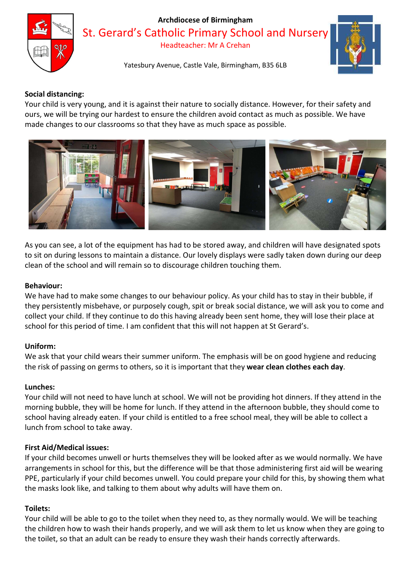

#### Archdiocese of Birmingham

St. Gerard's Catholic Primary School and Nursery

Headteacher: Mr A Crehan



Yatesbury Avenue, Castle Vale, Birmingham, B35 6LB

# Social distancing:

Your child is very young, and it is against their nature to socially distance. However, for their safety and ours, we will be trying our hardest to ensure the children avoid contact as much as possible. We have made changes to our classrooms so that they have as much space as possible.



As you can see, a lot of the equipment has had to be stored away, and children will have designated spots to sit on during lessons to maintain a distance. Our lovely displays were sadly taken down during our deep clean of the school and will remain so to discourage children touching them.

#### Behaviour:

We have had to make some changes to our behaviour policy. As your child has to stay in their bubble, if they persistently misbehave, or purposely cough, spit or break social distance, we will ask you to come and collect your child. If they continue to do this having already been sent home, they will lose their place at school for this period of time. I am confident that this will not happen at St Gerard's.

# Uniform:

We ask that your child wears their summer uniform. The emphasis will be on good hygiene and reducing the risk of passing on germs to others, so it is important that they wear clean clothes each day.

#### Lunches:

Your child will not need to have lunch at school. We will not be providing hot dinners. If they attend in the morning bubble, they will be home for lunch. If they attend in the afternoon bubble, they should come to school having already eaten. If your child is entitled to a free school meal, they will be able to collect a lunch from school to take away.

# First Aid/Medical issues:

If your child becomes unwell or hurts themselves they will be looked after as we would normally. We have arrangements in school for this, but the difference will be that those administering first aid will be wearing PPE, particularly if your child becomes unwell. You could prepare your child for this, by showing them what the masks look like, and talking to them about why adults will have them on.

# Toilets:

Your child will be able to go to the toilet when they need to, as they normally would. We will be teaching the children how to wash their hands properly, and we will ask them to let us know when they are going to the toilet, so that an adult can be ready to ensure they wash their hands correctly afterwards.